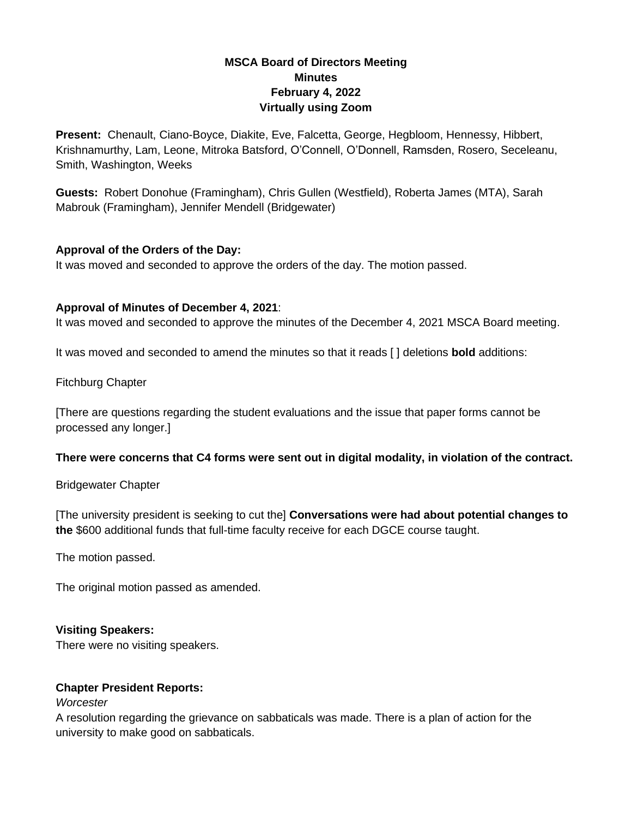# **MSCA Board of Directors Meeting Minutes February 4, 2022 Virtually using Zoom**

**Present:** Chenault, Ciano-Boyce, Diakite, Eve, Falcetta, George, Hegbloom, Hennessy, Hibbert, Krishnamurthy, Lam, Leone, Mitroka Batsford, O'Connell, O'Donnell, Ramsden, Rosero, Seceleanu, Smith, Washington, Weeks

**Guests:** Robert Donohue (Framingham), Chris Gullen (Westfield), Roberta James (MTA), Sarah Mabrouk (Framingham), Jennifer Mendell (Bridgewater)

# **Approval of the Orders of the Day:**

It was moved and seconded to approve the orders of the day. The motion passed.

# **Approval of Minutes of December 4, 2021**:

It was moved and seconded to approve the minutes of the December 4, 2021 MSCA Board meeting.

It was moved and seconded to amend the minutes so that it reads [ ] deletions **bold** additions:

Fitchburg Chapter

[There are questions regarding the student evaluations and the issue that paper forms cannot be processed any longer.]

# **There were concerns that C4 forms were sent out in digital modality, in violation of the contract.**

Bridgewater Chapter

[The university president is seeking to cut the] **Conversations were had about potential changes to the** \$600 additional funds that full-time faculty receive for each DGCE course taught.

The motion passed.

The original motion passed as amended.

# **Visiting Speakers:**

There were no visiting speakers.

# **Chapter President Reports:**

*Worcester*

A resolution regarding the grievance on sabbaticals was made. There is a plan of action for the university to make good on sabbaticals.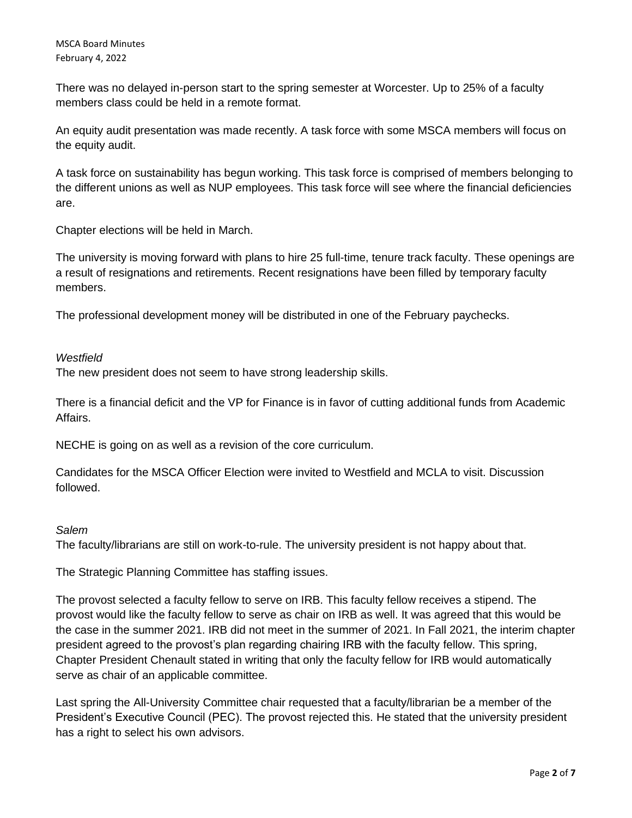There was no delayed in-person start to the spring semester at Worcester. Up to 25% of a faculty members class could be held in a remote format.

An equity audit presentation was made recently. A task force with some MSCA members will focus on the equity audit.

A task force on sustainability has begun working. This task force is comprised of members belonging to the different unions as well as NUP employees. This task force will see where the financial deficiencies are.

Chapter elections will be held in March.

The university is moving forward with plans to hire 25 full-time, tenure track faculty. These openings are a result of resignations and retirements. Recent resignations have been filled by temporary faculty members.

The professional development money will be distributed in one of the February paychecks.

# *Westfield*

The new president does not seem to have strong leadership skills.

There is a financial deficit and the VP for Finance is in favor of cutting additional funds from Academic Affairs.

NECHE is going on as well as a revision of the core curriculum.

Candidates for the MSCA Officer Election were invited to Westfield and MCLA to visit. Discussion followed.

#### *Salem*

The faculty/librarians are still on work-to-rule. The university president is not happy about that.

The Strategic Planning Committee has staffing issues.

The provost selected a faculty fellow to serve on IRB. This faculty fellow receives a stipend. The provost would like the faculty fellow to serve as chair on IRB as well. It was agreed that this would be the case in the summer 2021. IRB did not meet in the summer of 2021. In Fall 2021, the interim chapter president agreed to the provost's plan regarding chairing IRB with the faculty fellow. This spring, Chapter President Chenault stated in writing that only the faculty fellow for IRB would automatically serve as chair of an applicable committee.

Last spring the All-University Committee chair requested that a faculty/librarian be a member of the President's Executive Council (PEC). The provost rejected this. He stated that the university president has a right to select his own advisors.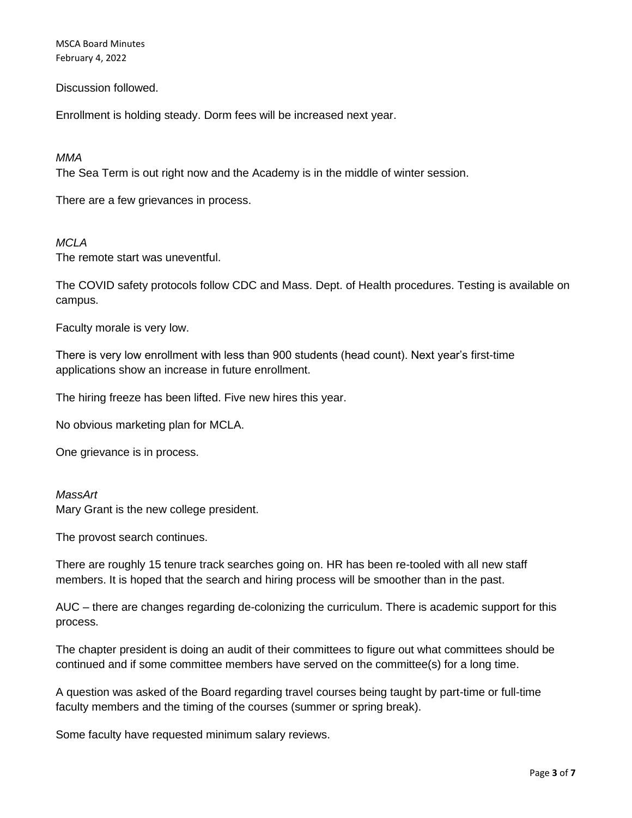MSCA Board Minutes February 4, 2022

Discussion followed.

Enrollment is holding steady. Dorm fees will be increased next year.

#### *MMA*

The Sea Term is out right now and the Academy is in the middle of winter session.

There are a few grievances in process.

#### *MCLA*

The remote start was uneventful.

The COVID safety protocols follow CDC and Mass. Dept. of Health procedures. Testing is available on campus.

Faculty morale is very low.

There is very low enrollment with less than 900 students (head count). Next year's first-time applications show an increase in future enrollment.

The hiring freeze has been lifted. Five new hires this year.

No obvious marketing plan for MCLA.

One grievance is in process.

### *MassArt* Mary Grant is the new college president.

The provost search continues.

There are roughly 15 tenure track searches going on. HR has been re-tooled with all new staff members. It is hoped that the search and hiring process will be smoother than in the past.

AUC – there are changes regarding de-colonizing the curriculum. There is academic support for this process.

The chapter president is doing an audit of their committees to figure out what committees should be continued and if some committee members have served on the committee(s) for a long time.

A question was asked of the Board regarding travel courses being taught by part-time or full-time faculty members and the timing of the courses (summer or spring break).

Some faculty have requested minimum salary reviews.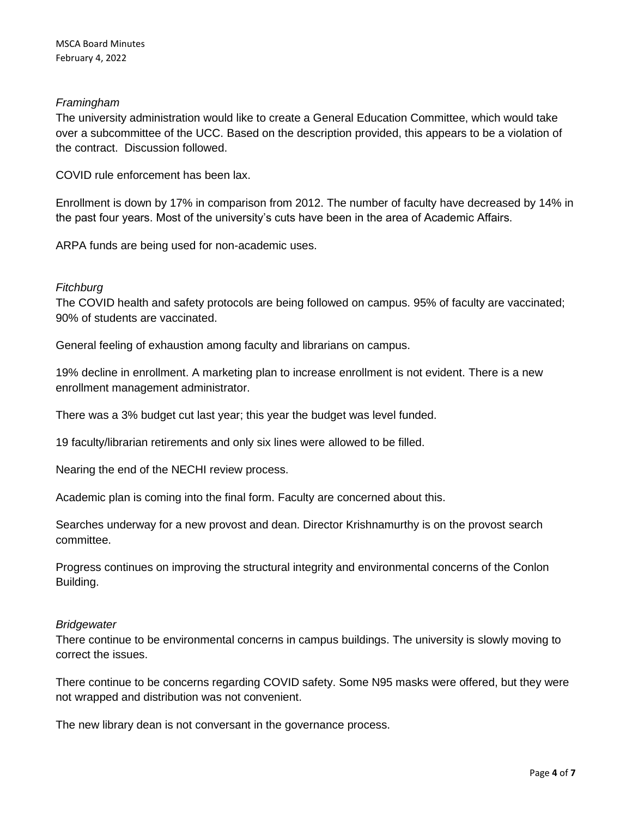# *Framingham*

The university administration would like to create a General Education Committee, which would take over a subcommittee of the UCC. Based on the description provided, this appears to be a violation of the contract. Discussion followed.

COVID rule enforcement has been lax.

Enrollment is down by 17% in comparison from 2012. The number of faculty have decreased by 14% in the past four years. Most of the university's cuts have been in the area of Academic Affairs.

ARPA funds are being used for non-academic uses.

### *Fitchburg*

The COVID health and safety protocols are being followed on campus. 95% of faculty are vaccinated; 90% of students are vaccinated.

General feeling of exhaustion among faculty and librarians on campus.

19% decline in enrollment. A marketing plan to increase enrollment is not evident. There is a new enrollment management administrator.

There was a 3% budget cut last year; this year the budget was level funded.

19 faculty/librarian retirements and only six lines were allowed to be filled.

Nearing the end of the NECHI review process.

Academic plan is coming into the final form. Faculty are concerned about this.

Searches underway for a new provost and dean. Director Krishnamurthy is on the provost search committee.

Progress continues on improving the structural integrity and environmental concerns of the Conlon Building.

#### *Bridgewater*

There continue to be environmental concerns in campus buildings. The university is slowly moving to correct the issues.

There continue to be concerns regarding COVID safety. Some N95 masks were offered, but they were not wrapped and distribution was not convenient.

The new library dean is not conversant in the governance process.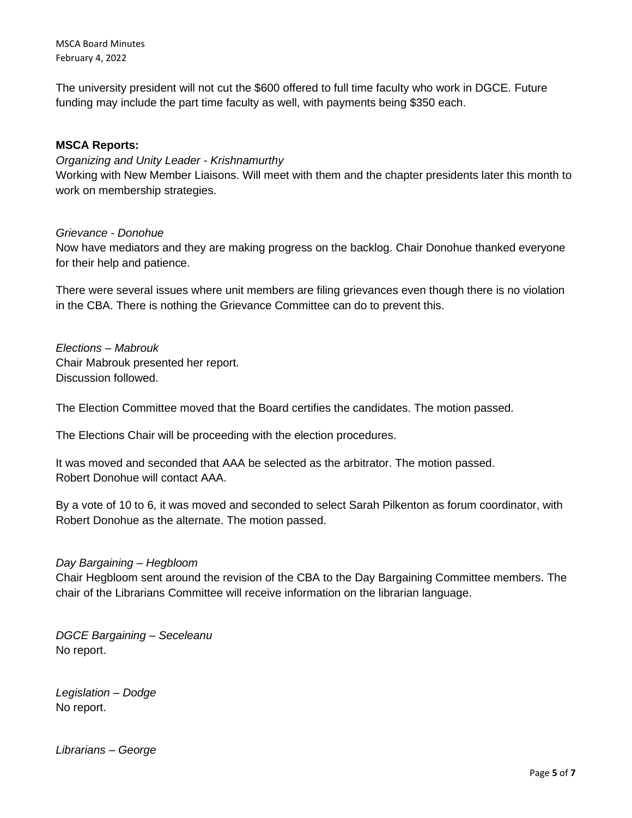MSCA Board Minutes February 4, 2022

The university president will not cut the \$600 offered to full time faculty who work in DGCE. Future funding may include the part time faculty as well, with payments being \$350 each.

### **MSCA Reports:**

*Organizing and Unity Leader - Krishnamurthy*

Working with New Member Liaisons. Will meet with them and the chapter presidents later this month to work on membership strategies.

### *Grievance - Donohue*

Now have mediators and they are making progress on the backlog. Chair Donohue thanked everyone for their help and patience.

There were several issues where unit members are filing grievances even though there is no violation in the CBA. There is nothing the Grievance Committee can do to prevent this.

*Elections – Mabrouk* Chair Mabrouk presented her report. Discussion followed.

The Election Committee moved that the Board certifies the candidates. The motion passed.

The Elections Chair will be proceeding with the election procedures.

It was moved and seconded that AAA be selected as the arbitrator. The motion passed. Robert Donohue will contact AAA.

By a vote of 10 to 6, it was moved and seconded to select Sarah Pilkenton as forum coordinator, with Robert Donohue as the alternate. The motion passed.

#### *Day Bargaining – Hegbloom*

Chair Hegbloom sent around the revision of the CBA to the Day Bargaining Committee members. The chair of the Librarians Committee will receive information on the librarian language.

*DGCE Bargaining – Seceleanu* No report.

*Legislation – Dodge* No report.

*Librarians – George*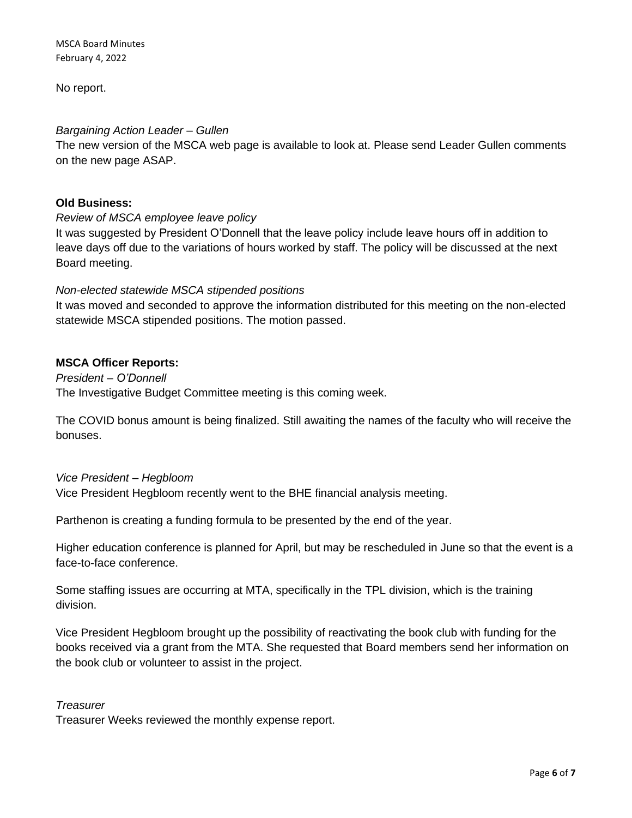MSCA Board Minutes February 4, 2022

No report.

### *Bargaining Action Leader – Gullen*

The new version of the MSCA web page is available to look at. Please send Leader Gullen comments on the new page ASAP.

### **Old Business:**

*Review of MSCA employee leave policy*

It was suggested by President O'Donnell that the leave policy include leave hours off in addition to leave days off due to the variations of hours worked by staff. The policy will be discussed at the next Board meeting.

### *Non-elected statewide MSCA stipended positions*

It was moved and seconded to approve the information distributed for this meeting on the non-elected statewide MSCA stipended positions. The motion passed.

# **MSCA Officer Reports:**

*President – O'Donnell* The Investigative Budget Committee meeting is this coming week.

The COVID bonus amount is being finalized. Still awaiting the names of the faculty who will receive the bonuses.

#### *Vice President – Hegbloom*

Vice President Hegbloom recently went to the BHE financial analysis meeting.

Parthenon is creating a funding formula to be presented by the end of the year.

Higher education conference is planned for April, but may be rescheduled in June so that the event is a face-to-face conference.

Some staffing issues are occurring at MTA, specifically in the TPL division, which is the training division.

Vice President Hegbloom brought up the possibility of reactivating the book club with funding for the books received via a grant from the MTA. She requested that Board members send her information on the book club or volunteer to assist in the project.

#### *Treasurer*

Treasurer Weeks reviewed the monthly expense report.